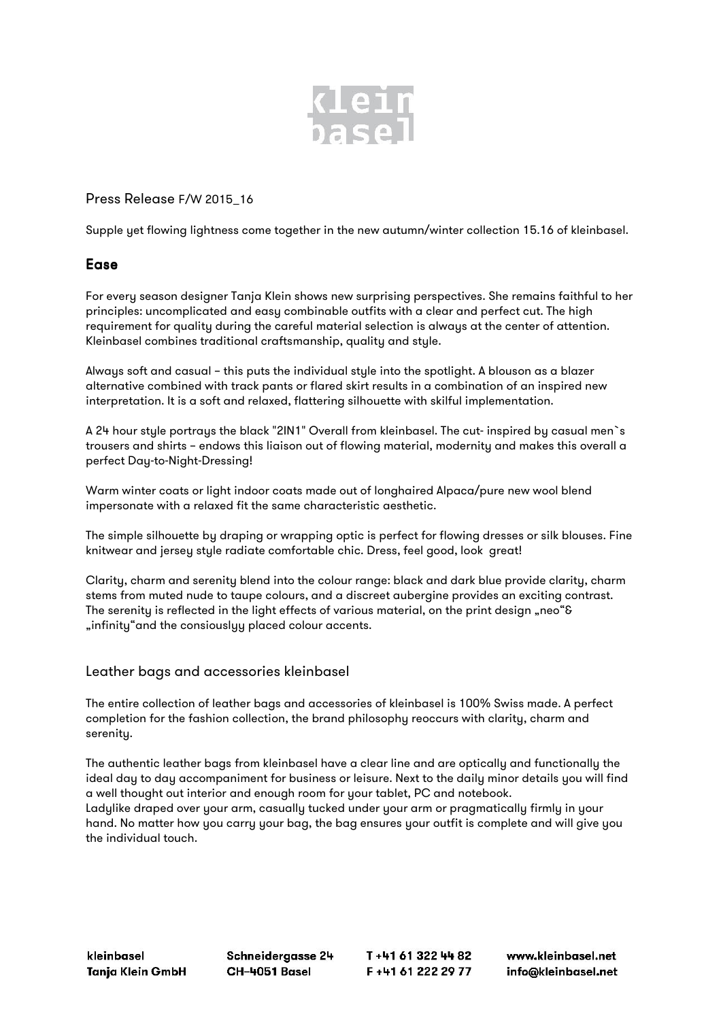

Press Release F/W 2015\_16

Supple yet flowing lightness come together in the new autumn/winter collection 15.16 of kleinbasel.

## Ease

For every season designer Tanja Klein shows new surprising perspectives. She remains faithful to her principles: uncomplicated and easy combinable outfits with a clear and perfect cut. The high requirement for quality during the careful material selection is always at the center of attention. Kleinbasel combines traditional craftsmanship, quality and style.

Always soft and casual – this puts the individual style into the spotlight. A blouson as a blazer alternative combined with track pants or flared skirt results in a combination of an inspired new interpretation. It is a soft and relaxed, flattering silhouette with skilful implementation.

A 24 hour style portrays the black "2IN1" Overall from kleinbasel. The cut- inspired by casual men`s trousers and shirts – endows this liaison out of flowing material, modernity and makes this overall a perfect Day-to-Night-Dressing!

Warm winter coats or light indoor coats made out of longhaired Alpaca/pure new wool blend impersonate with a relaxed fit the same characteristic aesthetic.

The simple silhouette by draping or wrapping optic is perfect for flowing dresses or silk blouses. Fine knitwear and jersey style radiate comfortable chic. Dress, feel good, look great!

Clarity, charm and serenity blend into the colour range: black and dark blue provide clarity, charm stems from muted nude to taupe colours, and a discreet aubergine provides an exciting contrast. The serenity is reflected in the light effects of various material, on the print design "neo"& "infinity" and the consiouslyy placed colour accents.

## Leather bags and accessories kleinbasel

The entire collection of leather bags and accessories of kleinbasel is 100% Swiss made. A perfect completion for the fashion collection, the brand philosophy reoccurs with clarity, charm and serenity.

The authentic leather bags from kleinbasel have a clear line and are optically and functionally the ideal day to day accompaniment for business or leisure. Next to the daily minor details you will find a well thought out interior and enough room for your tablet, PC and notebook. Ladylike draped over your arm, casually tucked under your arm or pragmatically firmly in your hand. No matter how you carry your bag, the bag ensures your outfit is complete and will give you the individual touch.

kleinbasel Tanja Klein GmbH Schneidergasse 24 CH-4051 Basel

T+41 61 322 44 82 F+41 61 222 29 77

www.kleinbasel.net info@kleinbasel.net